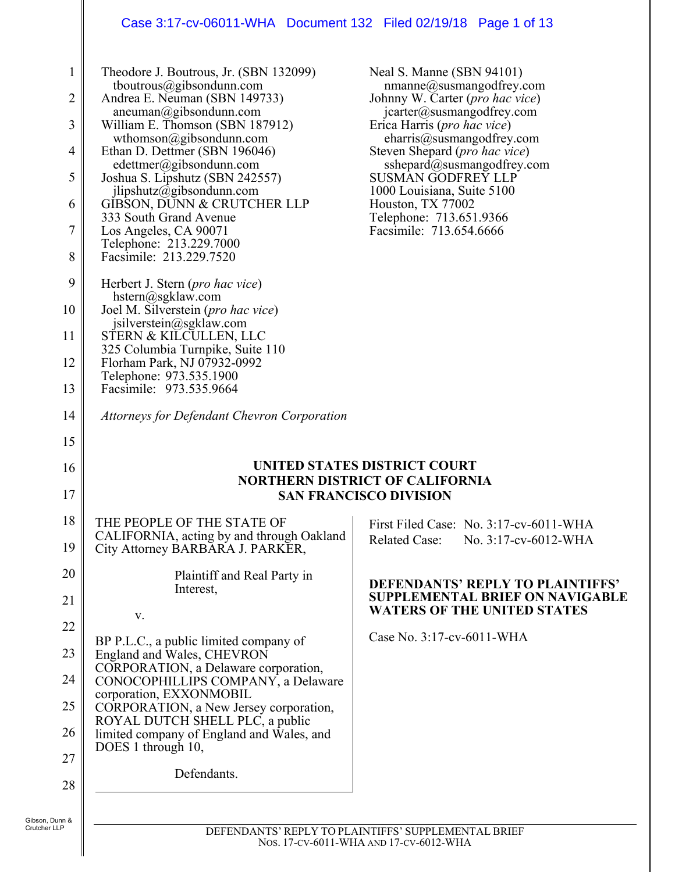# Case 3:17-cv-06011-WHA Document 132 Filed 02/19/18 Page 1 of 13

| $\mathbf{1}$<br>2<br>3<br>4<br>5<br>6<br>7<br>8 | Theodore J. Boutrous, Jr. (SBN 132099)<br>tboutrous@gibsondunn.com<br>Andrea E. Neuman (SBN 149733)<br>aneuman@gibsondunn.com<br>William E. Thomson (SBN 187912)<br>wthomson@gibsondunn.com<br>Ethan D. Dettmer (SBN 196046)<br>edettmer@gibsondunn.com<br>Joshua S. Lipshutz (SBN 242557)<br>jlipshutz@gibsondunn.com<br>GIBSON, DUNN & CRUTCHER LLP<br>333 South Grand Avenue<br>Los Angeles, CA 90071<br>Telephone: 213.229.7000<br>Facsimile: 213.229.7520 | Neal S. Manne (SBN 94101)<br>$n$ manne@susmangodfrey.com<br>Johnny W. Carter ( <i>pro hac vice</i> )<br>jcarter@susmangodfrey.com<br>Erica Harris ( <i>pro hac vice</i> )<br>charris@susmangodfrey.com<br>Steven Shepard ( <i>pro hac vice</i> )<br>sshepard@susmangodfrey.com<br><b>SUSMAN GODFREY LLP</b><br>1000 Louisiana, Suite 5100<br>Houston, TX 77002<br>Telephone: 713.651.9366<br>Facsimile: 713.654.6666 |
|-------------------------------------------------|----------------------------------------------------------------------------------------------------------------------------------------------------------------------------------------------------------------------------------------------------------------------------------------------------------------------------------------------------------------------------------------------------------------------------------------------------------------|----------------------------------------------------------------------------------------------------------------------------------------------------------------------------------------------------------------------------------------------------------------------------------------------------------------------------------------------------------------------------------------------------------------------|
| 9                                               | Herbert J. Stern ( <i>pro hac vice</i> )                                                                                                                                                                                                                                                                                                                                                                                                                       |                                                                                                                                                                                                                                                                                                                                                                                                                      |
| 10                                              | hstern@sgklaw.com<br>Joel M. Silverstein (pro hac vice)                                                                                                                                                                                                                                                                                                                                                                                                        |                                                                                                                                                                                                                                                                                                                                                                                                                      |
| 11                                              | jsilverstein@sgklaw.com<br>STERN & KILCULLEN, LLC<br>325 Columbia Turnpike, Suite 110                                                                                                                                                                                                                                                                                                                                                                          |                                                                                                                                                                                                                                                                                                                                                                                                                      |
| 12                                              | Florham Park, NJ 07932-0992<br>Telephone: 973.535.1900                                                                                                                                                                                                                                                                                                                                                                                                         |                                                                                                                                                                                                                                                                                                                                                                                                                      |
| 13                                              | Facsimile: 973.535.9664                                                                                                                                                                                                                                                                                                                                                                                                                                        |                                                                                                                                                                                                                                                                                                                                                                                                                      |
| 14                                              | <b>Attorneys for Defendant Chevron Corporation</b>                                                                                                                                                                                                                                                                                                                                                                                                             |                                                                                                                                                                                                                                                                                                                                                                                                                      |
| 15                                              |                                                                                                                                                                                                                                                                                                                                                                                                                                                                |                                                                                                                                                                                                                                                                                                                                                                                                                      |
| 16                                              |                                                                                                                                                                                                                                                                                                                                                                                                                                                                | UNITED STATES DISTRICT COURT<br><b>NORTHERN DISTRICT OF CALIFORNIA</b>                                                                                                                                                                                                                                                                                                                                               |
| 17                                              |                                                                                                                                                                                                                                                                                                                                                                                                                                                                | <b>SAN FRANCISCO DIVISION</b>                                                                                                                                                                                                                                                                                                                                                                                        |
| 18<br>19                                        | THE PEOPLE OF THE STATE OF<br>CALIFORNIA, acting by and through Oakland<br>City Attorney BARBARA J. PARKER,                                                                                                                                                                                                                                                                                                                                                    | First Filed Case: No. 3:17-cv-6011-WHA<br><b>Related Case:</b><br>No. $3:17$ -cv-6012-WHA                                                                                                                                                                                                                                                                                                                            |
| 20                                              | Plaintiff and Real Party in<br>Interest,                                                                                                                                                                                                                                                                                                                                                                                                                       | <b>DEFENDANTS' REPLY TO PLAINTIFFS'</b>                                                                                                                                                                                                                                                                                                                                                                              |
| 21                                              | V.                                                                                                                                                                                                                                                                                                                                                                                                                                                             | <b>SUPPLEMENTAL BRIEF ON NAVIGABLE</b><br><b>WATERS OF THE UNITED STATES</b>                                                                                                                                                                                                                                                                                                                                         |
| 22                                              |                                                                                                                                                                                                                                                                                                                                                                                                                                                                | Case No. 3:17-cv-6011-WHA                                                                                                                                                                                                                                                                                                                                                                                            |
| 23                                              | BP P.L.C., a public limited company of<br>England and Wales, CHEVRON<br>CORPORATION, a Delaware corporation,                                                                                                                                                                                                                                                                                                                                                   |                                                                                                                                                                                                                                                                                                                                                                                                                      |
| 24                                              | CONOCOPHILLIPS COMPANY, a Delaware                                                                                                                                                                                                                                                                                                                                                                                                                             |                                                                                                                                                                                                                                                                                                                                                                                                                      |
| 25                                              | corporation, EXXONMOBIL<br>CORPORATION, a New Jersey corporation,                                                                                                                                                                                                                                                                                                                                                                                              |                                                                                                                                                                                                                                                                                                                                                                                                                      |
| 26<br>27                                        | ROYAL DUTCH SHELL PLC, a public<br>limited company of England and Wales, and<br>DOES 1 through 10,                                                                                                                                                                                                                                                                                                                                                             |                                                                                                                                                                                                                                                                                                                                                                                                                      |
| 28                                              | Defendants.                                                                                                                                                                                                                                                                                                                                                                                                                                                    |                                                                                                                                                                                                                                                                                                                                                                                                                      |
|                                                 |                                                                                                                                                                                                                                                                                                                                                                                                                                                                |                                                                                                                                                                                                                                                                                                                                                                                                                      |
| , Dunn &<br>er LLP                              |                                                                                                                                                                                                                                                                                                                                                                                                                                                                | DEFENDANTS' REPLY TO PLAINTIFFS' SUPPLEMENTAL BRIEF                                                                                                                                                                                                                                                                                                                                                                  |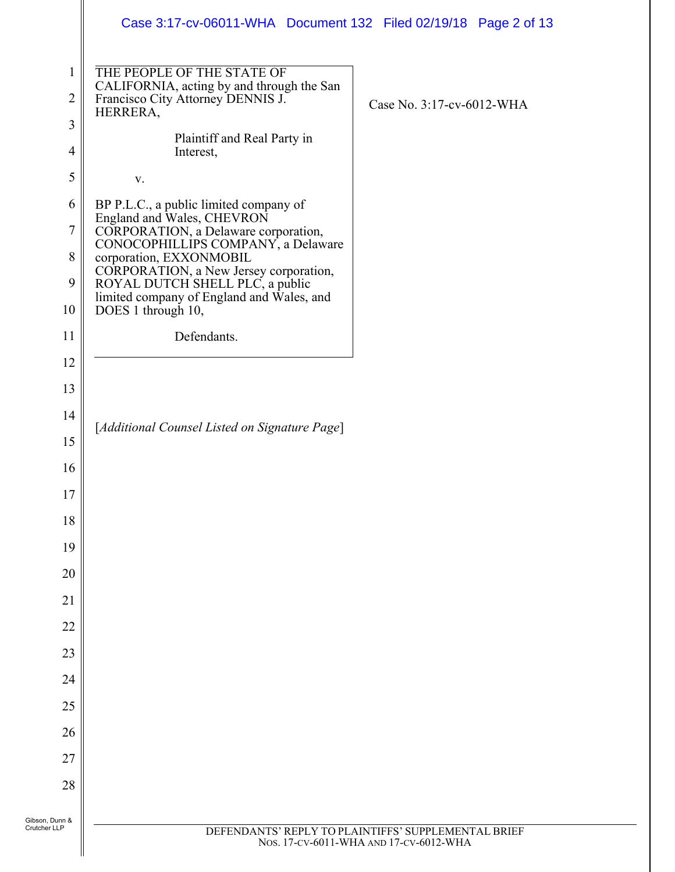|                                | Case 3:17-cv-06011-WHA  Document 132  Filed 02/19/18  Page 2 of 13                                                                                                                                                                                         |                                                                                               |
|--------------------------------|------------------------------------------------------------------------------------------------------------------------------------------------------------------------------------------------------------------------------------------------------------|-----------------------------------------------------------------------------------------------|
| $\mathbf 1$<br>$\overline{2}$  | THE PEOPLE OF THE STATE OF<br>CALIFORNIA, acting by and through the San<br>Francisco City Attorney DENNIS J.<br>HERRERA,                                                                                                                                   | Case No. 3:17-cv-6012-WHA                                                                     |
| 3                              | Plaintiff and Real Party in                                                                                                                                                                                                                                |                                                                                               |
| $\overline{4}$                 | Interest,                                                                                                                                                                                                                                                  |                                                                                               |
| 5                              | V.                                                                                                                                                                                                                                                         |                                                                                               |
| 6<br>7<br>8<br>9               | BP P.L.C., a public limited company of<br>England and Wales, CHEVRON<br>CORPORATION, a Delaware corporation,<br>CONOCOPHILLIPS COMPANY, a Delaware<br>corporation, EXXONMOBIL<br>CORPORATION, a New Jersey corporation,<br>ROYAL DUTCH SHELL PLC, a public |                                                                                               |
| 10                             | limited company of England and Wales, and<br>DOES 1 through 10,                                                                                                                                                                                            |                                                                                               |
| 11                             | Defendants.                                                                                                                                                                                                                                                |                                                                                               |
| 12                             |                                                                                                                                                                                                                                                            |                                                                                               |
| 13                             |                                                                                                                                                                                                                                                            |                                                                                               |
| 14                             | [Additional Counsel Listed on Signature Page]                                                                                                                                                                                                              |                                                                                               |
| 15                             |                                                                                                                                                                                                                                                            |                                                                                               |
| 16                             |                                                                                                                                                                                                                                                            |                                                                                               |
| $17\,$                         |                                                                                                                                                                                                                                                            |                                                                                               |
| 18                             |                                                                                                                                                                                                                                                            |                                                                                               |
| 19                             |                                                                                                                                                                                                                                                            |                                                                                               |
| 20                             |                                                                                                                                                                                                                                                            |                                                                                               |
| 21                             |                                                                                                                                                                                                                                                            |                                                                                               |
| 22                             |                                                                                                                                                                                                                                                            |                                                                                               |
| 23                             |                                                                                                                                                                                                                                                            |                                                                                               |
| 24                             |                                                                                                                                                                                                                                                            |                                                                                               |
| 25                             |                                                                                                                                                                                                                                                            |                                                                                               |
| 26                             |                                                                                                                                                                                                                                                            |                                                                                               |
| 27                             |                                                                                                                                                                                                                                                            |                                                                                               |
| 28                             |                                                                                                                                                                                                                                                            |                                                                                               |
| Gibson, Dunn &<br>Crutcher LLP |                                                                                                                                                                                                                                                            | DEFENDANTS' REPLY TO PLAINTIFFS' SUPPLEMENTAL BRIEF<br>Nos. 17-CV-6011-WHA AND 17-CV-6012-WHA |
|                                |                                                                                                                                                                                                                                                            |                                                                                               |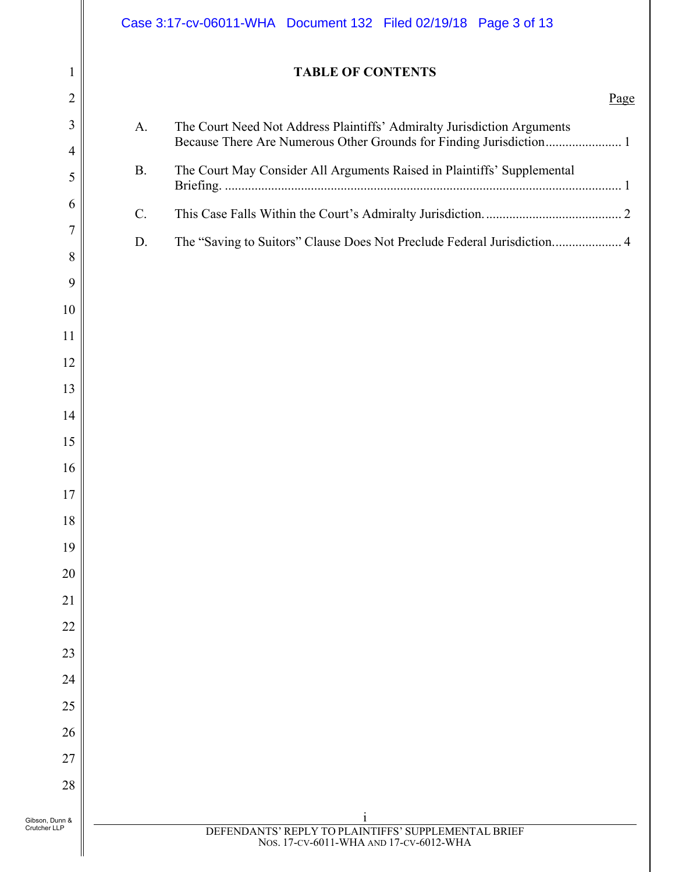|                                | Case 3:17-cv-06011-WHA  Document 132  Filed 02/19/18  Page 3 of 13                                                                                   |      |
|--------------------------------|------------------------------------------------------------------------------------------------------------------------------------------------------|------|
| 1                              | <b>TABLE OF CONTENTS</b>                                                                                                                             |      |
| $\overline{c}$                 |                                                                                                                                                      | Page |
| 3<br>4                         | The Court Need Not Address Plaintiffs' Admiralty Jurisdiction Arguments<br>A.<br>Because There Are Numerous Other Grounds for Finding Jurisdiction 1 |      |
| 5                              | The Court May Consider All Arguments Raised in Plaintiffs' Supplemental<br><b>B.</b>                                                                 |      |
| 6                              | C.                                                                                                                                                   |      |
| $\overline{7}$                 | The "Saving to Suitors" Clause Does Not Preclude Federal Jurisdiction 4<br>D.                                                                        |      |
| 8                              |                                                                                                                                                      |      |
| 9                              |                                                                                                                                                      |      |
| 10                             |                                                                                                                                                      |      |
| 11                             |                                                                                                                                                      |      |
| 12                             |                                                                                                                                                      |      |
| 13                             |                                                                                                                                                      |      |
| 14                             |                                                                                                                                                      |      |
| 15                             |                                                                                                                                                      |      |
| 16                             |                                                                                                                                                      |      |
| 17                             |                                                                                                                                                      |      |
| 18                             |                                                                                                                                                      |      |
| 19                             |                                                                                                                                                      |      |
| 20                             |                                                                                                                                                      |      |
| 21                             |                                                                                                                                                      |      |
| 22                             |                                                                                                                                                      |      |
| 23                             |                                                                                                                                                      |      |
| 24                             |                                                                                                                                                      |      |
| 25                             |                                                                                                                                                      |      |
| 26                             |                                                                                                                                                      |      |
| 27                             |                                                                                                                                                      |      |
| 28                             |                                                                                                                                                      |      |
| Gibson, Dunn &<br>Crutcher LLP | $\mathbf{1}$<br>DEFENDANTS' REPLY TO PLAINTIFFS' SUPPLEMENTAL BRIEF<br>Nos. 17-CV-6011-WHA AND 17-CV-6012-WHA                                        |      |
|                                |                                                                                                                                                      |      |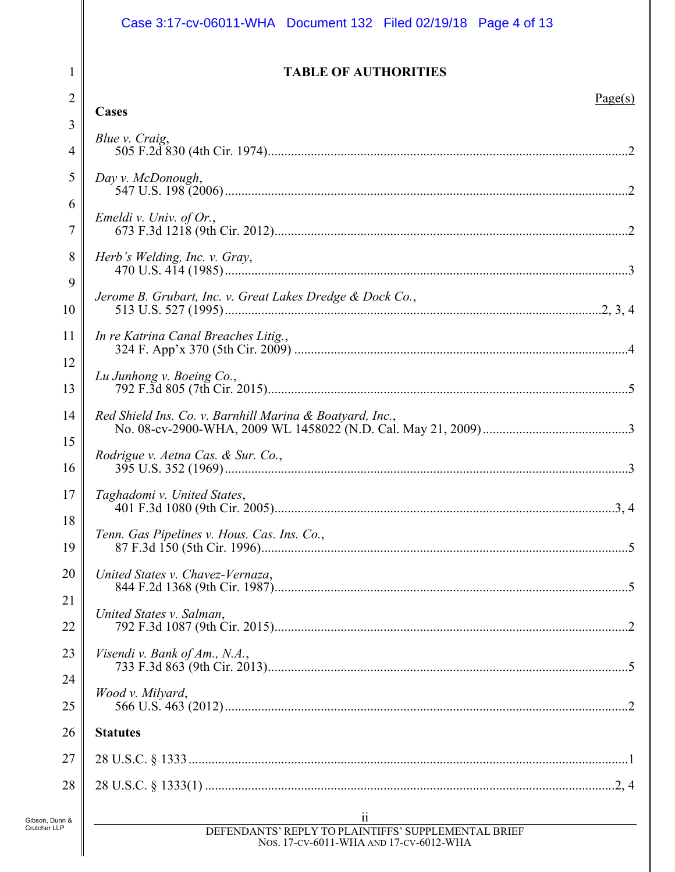# Case 3:17-cv-06011-WHA Document 132 Filed 02/19/18 Page 4 of 13

## **TABLE OF AUTHORITIES**

| $\overline{2}$      | Page(s)<br>Cases                                                                                        |
|---------------------|---------------------------------------------------------------------------------------------------------|
| 3<br>$\overline{4}$ | Blue v. Craig,                                                                                          |
| 5                   | Day v. McDonough,                                                                                       |
| 6                   | Emeldi v. Univ. of Or.,                                                                                 |
| 7                   |                                                                                                         |
| 8<br>9              | Herb's Welding, Inc. v. Gray,                                                                           |
| 10                  | Jerome B. Grubart, Inc. v. Great Lakes Dredge & Dock Co.,                                               |
| 11                  | In re Katrina Canal Breaches Litig.,                                                                    |
| 12<br>13            | Lu Junhong v. Boeing Co.,                                                                               |
| 14                  | Red Shield Ins. Co. v. Barnhill Marina & Boatyard, Inc.,                                                |
| 15<br>16            | Rodrigue v. Aetna Cas. & Sur. Co.,                                                                      |
| 17                  | Taghadomi v. United States,                                                                             |
| 18<br>19            | Tenn. Gas Pipelines v. Hous. Cas. Ins. Co.,                                                             |
| 20                  | United States v. Chavez-Vernaza,                                                                        |
| 21<br>22            | United States v. Salman,                                                                                |
| 23                  | Visendi v. Bank of Am., N.A.,                                                                           |
| 24<br>25            | Wood v. Milyard,                                                                                        |
| 26                  | <b>Statutes</b>                                                                                         |
| 27                  |                                                                                                         |
| 28                  |                                                                                                         |
| n &                 | $\begin{tabular}{c} \underline{ii}\\ DEFENDANTS' REPLY TO PLAINTIFFS' SUPPLEMENTAL BRIEF \end{tabular}$ |
|                     | Nos. 17-CV-6011-WHA AND 17-CV-6012-WHA                                                                  |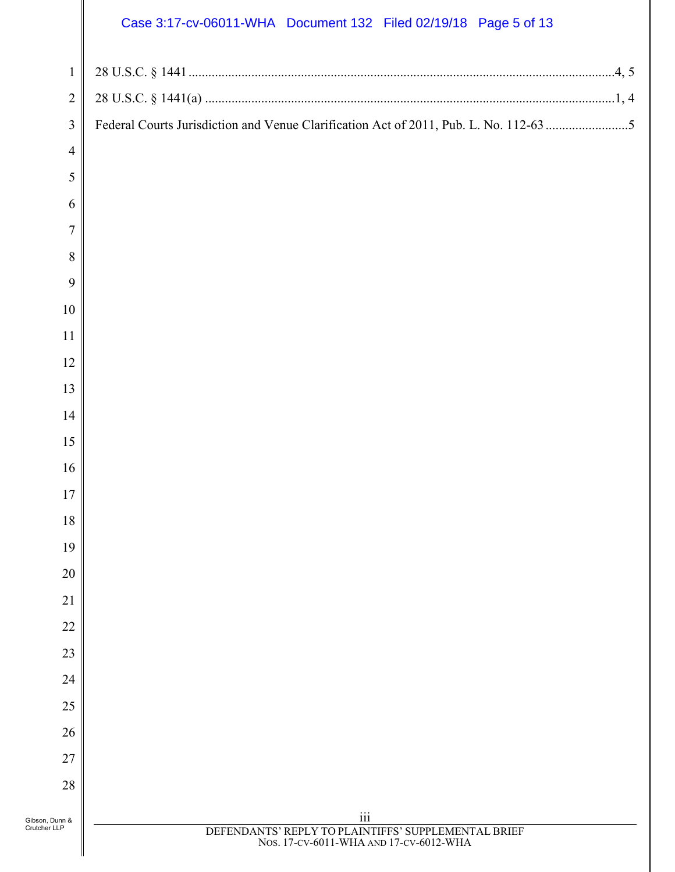# Case 3:17-cv-06011-WHA Document 132 Filed 02/19/18 Page 5 of 13

|                                | Case 3:17-cv-06011-WHA Document 132 Filed 02/19/18 Page 5 of 13                                            |
|--------------------------------|------------------------------------------------------------------------------------------------------------|
| $\mathbf{1}$                   |                                                                                                            |
| $\overline{c}$                 |                                                                                                            |
| $\mathfrak{Z}$                 | Federal Courts Jurisdiction and Venue Clarification Act of 2011, Pub. L. No. 112-63 5                      |
| $\overline{4}$                 |                                                                                                            |
| 5                              |                                                                                                            |
| 6                              |                                                                                                            |
| $\overline{7}$                 |                                                                                                            |
| 8                              |                                                                                                            |
| 9                              |                                                                                                            |
| 10                             |                                                                                                            |
| 11                             |                                                                                                            |
| 12                             |                                                                                                            |
| 13                             |                                                                                                            |
| 14                             |                                                                                                            |
| 15                             |                                                                                                            |
| 16                             |                                                                                                            |
| 17                             |                                                                                                            |
| 18                             |                                                                                                            |
| 19                             |                                                                                                            |
| 20                             |                                                                                                            |
| 21                             |                                                                                                            |
| 22                             |                                                                                                            |
| 23                             |                                                                                                            |
| 24                             |                                                                                                            |
| 25                             |                                                                                                            |
| 26                             |                                                                                                            |
| 27                             |                                                                                                            |
| 28                             |                                                                                                            |
| Gibson, Dunn &<br>Crutcher LLP | $\rm iii$<br>DEFENDANTS' REPLY TO PLAINTIFFS' SUPPLEMENTAL BRIEF<br>Nos. 17-cv-6011-WHA AND 17-cv-6012-WHA |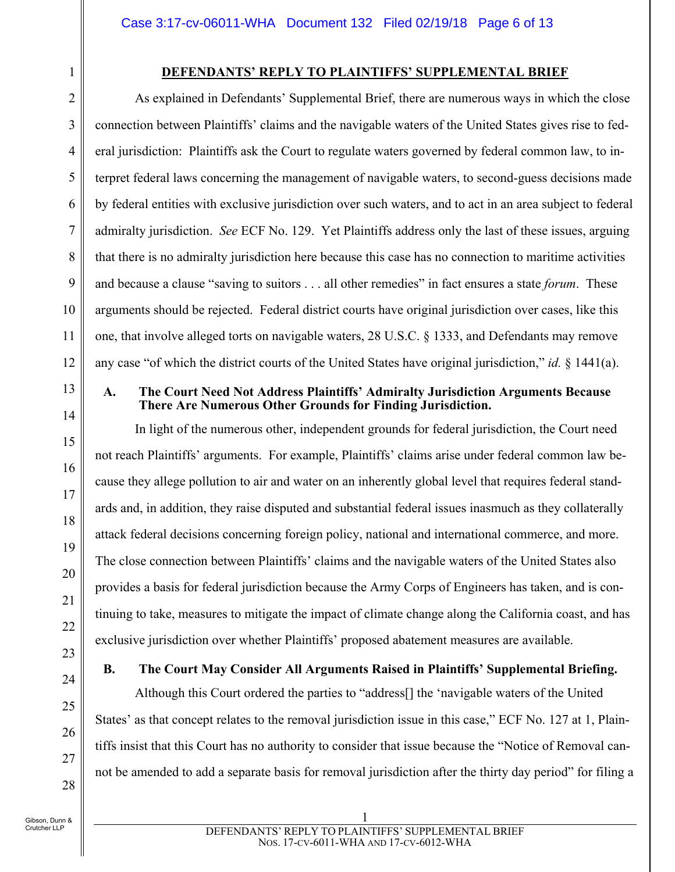## **DEFENDANTS' REPLY TO PLAINTIFFS' SUPPLEMENTAL BRIEF**

As explained in Defendants' Supplemental Brief, there are numerous ways in which the close connection between Plaintiffs' claims and the navigable waters of the United States gives rise to federal jurisdiction: Plaintiffs ask the Court to regulate waters governed by federal common law, to interpret federal laws concerning the management of navigable waters, to second-guess decisions made by federal entities with exclusive jurisdiction over such waters, and to act in an area subject to federal admiralty jurisdiction. *See* ECF No. 129. Yet Plaintiffs address only the last of these issues, arguing that there is no admiralty jurisdiction here because this case has no connection to maritime activities and because a clause "saving to suitors . . . all other remedies" in fact ensures a state *forum*. These arguments should be rejected. Federal district courts have original jurisdiction over cases, like this one, that involve alleged torts on navigable waters, 28 U.S.C. § 1333, and Defendants may remove any case "of which the district courts of the United States have original jurisdiction," *id.* § 1441(a).

# 13

1

2

3

4

5

6

7

8

9

10

11

12

14

15

16

17

18

19

20

21

22

24

25

26

27

28

#### **A. The Court Need Not Address Plaintiffs' Admiralty Jurisdiction Arguments Because There Are Numerous Other Grounds for Finding Jurisdiction.**

In light of the numerous other, independent grounds for federal jurisdiction, the Court need not reach Plaintiffs' arguments. For example, Plaintiffs' claims arise under federal common law because they allege pollution to air and water on an inherently global level that requires federal standards and, in addition, they raise disputed and substantial federal issues inasmuch as they collaterally attack federal decisions concerning foreign policy, national and international commerce, and more. The close connection between Plaintiffs' claims and the navigable waters of the United States also provides a basis for federal jurisdiction because the Army Corps of Engineers has taken, and is continuing to take, measures to mitigate the impact of climate change along the California coast, and has exclusive jurisdiction over whether Plaintiffs' proposed abatement measures are available.

23

## **B. The Court May Consider All Arguments Raised in Plaintiffs' Supplemental Briefing.**

Although this Court ordered the parties to "address[] the 'navigable waters of the United States' as that concept relates to the removal jurisdiction issue in this case," ECF No. 127 at 1, Plaintiffs insist that this Court has no authority to consider that issue because the "Notice of Removal cannot be amended to add a separate basis for removal jurisdiction after the thirty day period" for filing a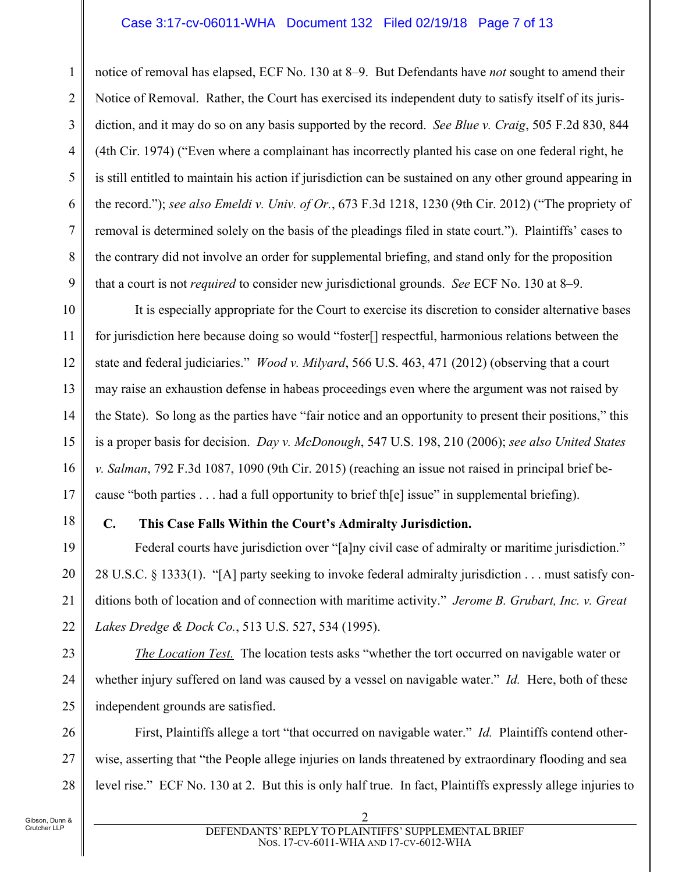## Case 3:17-cv-06011-WHA Document 132 Filed 02/19/18 Page 7 of 13

notice of removal has elapsed, ECF No. 130 at 8–9. But Defendants have *not* sought to amend their Notice of Removal. Rather, the Court has exercised its independent duty to satisfy itself of its jurisdiction, and it may do so on any basis supported by the record. *See Blue v. Craig*, 505 F.2d 830, 844 (4th Cir. 1974) ("Even where a complainant has incorrectly planted his case on one federal right, he is still entitled to maintain his action if jurisdiction can be sustained on any other ground appearing in the record."); *see also Emeldi v. Univ. of Or.*, 673 F.3d 1218, 1230 (9th Cir. 2012) ("The propriety of removal is determined solely on the basis of the pleadings filed in state court."). Plaintiffs' cases to the contrary did not involve an order for supplemental briefing, and stand only for the proposition that a court is not *required* to consider new jurisdictional grounds. *See* ECF No. 130 at 8–9.

10 11 12 13 14 15 16 17 It is especially appropriate for the Court to exercise its discretion to consider alternative bases for jurisdiction here because doing so would "foster[] respectful, harmonious relations between the state and federal judiciaries." *Wood v. Milyard*, 566 U.S. 463, 471 (2012) (observing that a court may raise an exhaustion defense in habeas proceedings even where the argument was not raised by the State). So long as the parties have "fair notice and an opportunity to present their positions," this is a proper basis for decision. *Day v. McDonough*, 547 U.S. 198, 210 (2006); *see also United States v. Salman*, 792 F.3d 1087, 1090 (9th Cir. 2015) (reaching an issue not raised in principal brief because "both parties . . . had a full opportunity to brief th[e] issue" in supplemental briefing).

18

19

20

21

22

1

2

3

4

5

6

7

8

9

# **C. This Case Falls Within the Court's Admiralty Jurisdiction.**

Federal courts have jurisdiction over "[a]ny civil case of admiralty or maritime jurisdiction." 28 U.S.C. § 1333(1). "[A] party seeking to invoke federal admiralty jurisdiction . . . must satisfy conditions both of location and of connection with maritime activity." *Jerome B. Grubart, Inc. v. Great Lakes Dredge & Dock Co.*, 513 U.S. 527, 534 (1995).

23 24 25 *The Location Test.* The location tests asks "whether the tort occurred on navigable water or whether injury suffered on land was caused by a vessel on navigable water." *Id.* Here, both of these independent grounds are satisfied.

26 27 28 First, Plaintiffs allege a tort "that occurred on navigable water." *Id.* Plaintiffs contend otherwise, asserting that "the People allege injuries on lands threatened by extraordinary flooding and sea level rise." ECF No. 130 at 2. But this is only half true. In fact, Plaintiffs expressly allege injuries to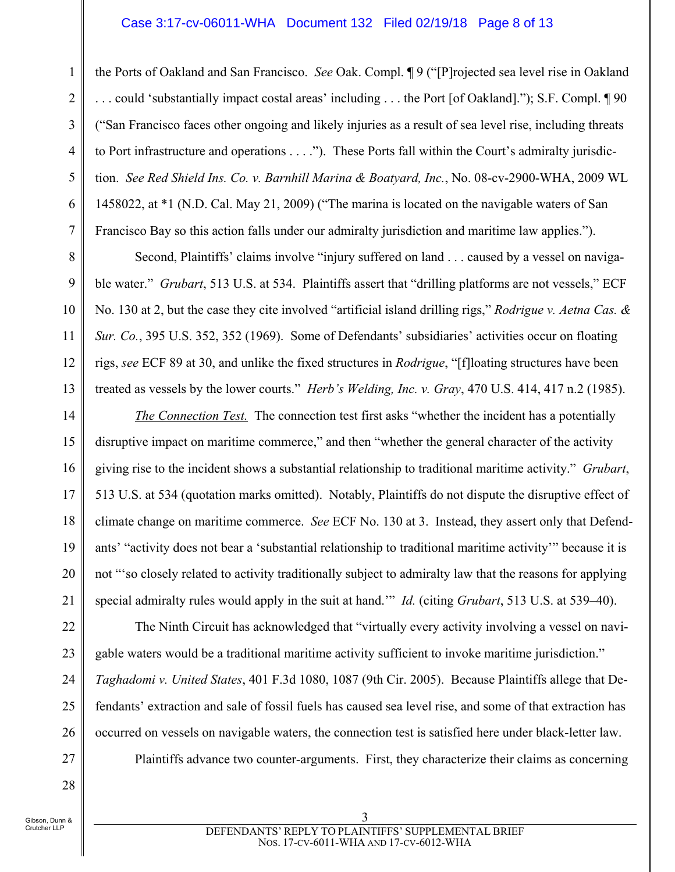## Case 3:17-cv-06011-WHA Document 132 Filed 02/19/18 Page 8 of 13

the Ports of Oakland and San Francisco. *See* Oak. Compl. ¶ 9 ("[P]rojected sea level rise in Oakland . . . could 'substantially impact costal areas' including . . . the Port [of Oakland]."); S.F. Compl. ¶ 90 ("San Francisco faces other ongoing and likely injuries as a result of sea level rise, including threats to Port infrastructure and operations . . . ."). These Ports fall within the Court's admiralty jurisdiction. *See Red Shield Ins. Co. v. Barnhill Marina & Boatyard, Inc.*, No. 08-cv-2900-WHA, 2009 WL 1458022, at \*1 (N.D. Cal. May 21, 2009) ("The marina is located on the navigable waters of San Francisco Bay so this action falls under our admiralty jurisdiction and maritime law applies.").

Second, Plaintiffs' claims involve "injury suffered on land . . . caused by a vessel on navigable water." *Grubart*, 513 U.S. at 534. Plaintiffs assert that "drilling platforms are not vessels," ECF No. 130 at 2, but the case they cite involved "artificial island drilling rigs," *Rodrigue v. Aetna Cas. & Sur. Co.*, 395 U.S. 352, 352 (1969). Some of Defendants' subsidiaries' activities occur on floating rigs, *see* ECF 89 at 30, and unlike the fixed structures in *Rodrigue*, "[f]loating structures have been treated as vessels by the lower courts." *Herb's Welding, Inc. v. Gray*, 470 U.S. 414, 417 n.2 (1985).

*The Connection Test.* The connection test first asks "whether the incident has a potentially disruptive impact on maritime commerce," and then "whether the general character of the activity giving rise to the incident shows a substantial relationship to traditional maritime activity." *Grubart*, 513 U.S. at 534 (quotation marks omitted). Notably, Plaintiffs do not dispute the disruptive effect of climate change on maritime commerce. *See* ECF No. 130 at 3. Instead, they assert only that Defendants' "activity does not bear a 'substantial relationship to traditional maritime activity'" because it is not "'so closely related to activity traditionally subject to admiralty law that the reasons for applying special admiralty rules would apply in the suit at hand.'" *Id.* (citing *Grubart*, 513 U.S. at 539–40).

The Ninth Circuit has acknowledged that "virtually every activity involving a vessel on navigable waters would be a traditional maritime activity sufficient to invoke maritime jurisdiction." *Taghadomi v. United States*, 401 F.3d 1080, 1087 (9th Cir. 2005). Because Plaintiffs allege that Defendants' extraction and sale of fossil fuels has caused sea level rise, and some of that extraction has occurred on vessels on navigable waters, the connection test is satisfied here under black-letter law.

Plaintiffs advance two counter-arguments. First, they characterize their claims as concerning

1

2

3

4

5

6

7

8

9

10

11

12

13

14

15

16

17

18

19

20

21

22

23

24

25

26

27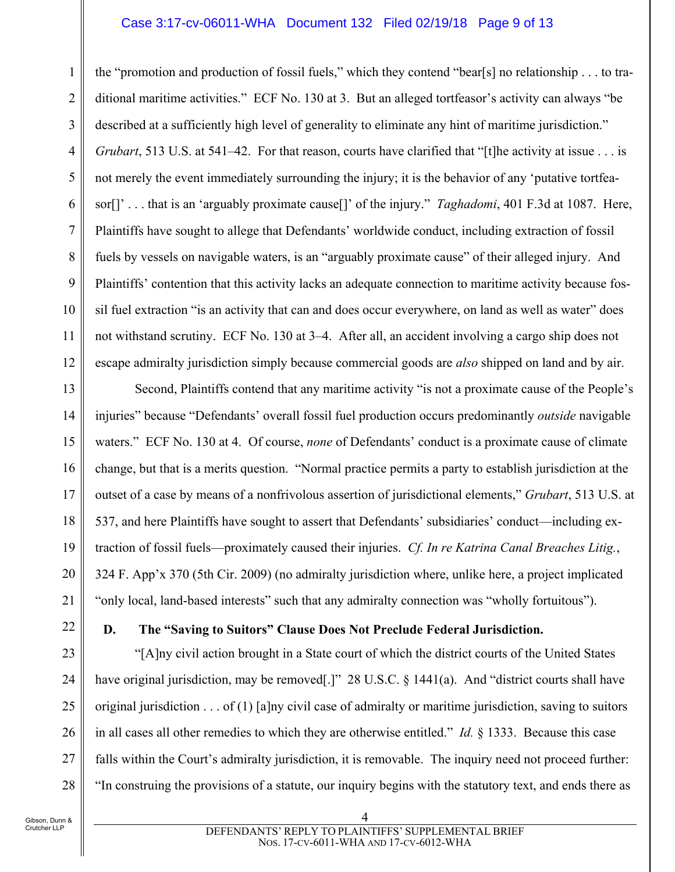#### Case 3:17-cv-06011-WHA Document 132 Filed 02/19/18 Page 9 of 13

1 2 3 4 5 6 7 8 9 10 11 12 the "promotion and production of fossil fuels," which they contend "bear[s] no relationship . . . to traditional maritime activities." ECF No. 130 at 3. But an alleged tortfeasor's activity can always "be described at a sufficiently high level of generality to eliminate any hint of maritime jurisdiction." *Grubart*, 513 U.S. at 541–42. For that reason, courts have clarified that "[t] he activity at issue . . . is not merely the event immediately surrounding the injury; it is the behavior of any 'putative tortfeasor[]' . . . that is an 'arguably proximate cause[]' of the injury." *Taghadomi*, 401 F.3d at 1087. Here, Plaintiffs have sought to allege that Defendants' worldwide conduct, including extraction of fossil fuels by vessels on navigable waters, is an "arguably proximate cause" of their alleged injury. And Plaintiffs' contention that this activity lacks an adequate connection to maritime activity because fossil fuel extraction "is an activity that can and does occur everywhere, on land as well as water" does not withstand scrutiny. ECF No. 130 at 3–4. After all, an accident involving a cargo ship does not escape admiralty jurisdiction simply because commercial goods are *also* shipped on land and by air.

13 14 15 16 17 18 19 20 21 Second, Plaintiffs contend that any maritime activity "is not a proximate cause of the People's injuries" because "Defendants' overall fossil fuel production occurs predominantly *outside* navigable waters." ECF No. 130 at 4. Of course, *none* of Defendants' conduct is a proximate cause of climate change, but that is a merits question. "Normal practice permits a party to establish jurisdiction at the outset of a case by means of a nonfrivolous assertion of jurisdictional elements," *Grubart*, 513 U.S. at 537, and here Plaintiffs have sought to assert that Defendants' subsidiaries' conduct—including extraction of fossil fuels—proximately caused their injuries. *Cf. In re Katrina Canal Breaches Litig.*, 324 F. App'x 370 (5th Cir. 2009) (no admiralty jurisdiction where, unlike here, a project implicated "only local, land-based interests" such that any admiralty connection was "wholly fortuitous").

22

23

24

25

26

27

28

# **D. The "Saving to Suitors" Clause Does Not Preclude Federal Jurisdiction.**

"[A]ny civil action brought in a State court of which the district courts of the United States have original jurisdiction, may be removed[.]" 28 U.S.C. § 1441(a). And "district courts shall have original jurisdiction  $\dots$  of (1) [a]ny civil case of admiralty or maritime jurisdiction, saving to suitors in all cases all other remedies to which they are otherwise entitled." *Id.* § 1333. Because this case falls within the Court's admiralty jurisdiction, it is removable. The inquiry need not proceed further: "In construing the provisions of a statute, our inquiry begins with the statutory text, and ends there as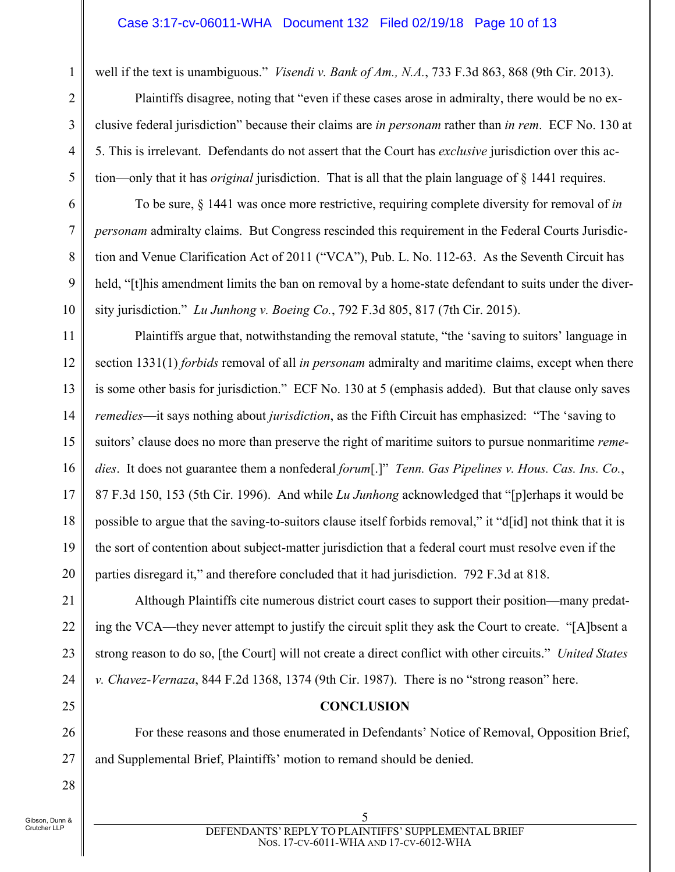well if the text is unambiguous." *Visendi v. Bank of Am., N.A.*, 733 F.3d 863, 868 (9th Cir. 2013).

Plaintiffs disagree, noting that "even if these cases arose in admiralty, there would be no exclusive federal jurisdiction" because their claims are *in personam* rather than *in rem*. ECF No. 130 at 5. This is irrelevant. Defendants do not assert that the Court has *exclusive* jurisdiction over this action—only that it has *original* jurisdiction. That is all that the plain language of § 1441 requires.

To be sure, § 1441 was once more restrictive, requiring complete diversity for removal of *in personam* admiralty claims. But Congress rescinded this requirement in the Federal Courts Jurisdiction and Venue Clarification Act of 2011 ("VCA"), Pub. L. No. 112-63. As the Seventh Circuit has held, "[t]his amendment limits the ban on removal by a home-state defendant to suits under the diversity jurisdiction." *Lu Junhong v. Boeing Co.*, 792 F.3d 805, 817 (7th Cir. 2015).

Plaintiffs argue that, notwithstanding the removal statute, "the 'saving to suitors' language in section 1331(1) *forbids* removal of all *in personam* admiralty and maritime claims, except when there is some other basis for jurisdiction." ECF No. 130 at 5 (emphasis added). But that clause only saves *remedies*—it says nothing about *jurisdiction*, as the Fifth Circuit has emphasized: "The 'saving to suitors' clause does no more than preserve the right of maritime suitors to pursue nonmaritime *remedies*. It does not guarantee them a nonfederal *forum*[.]" *Tenn. Gas Pipelines v. Hous. Cas. Ins. Co.*, 87 F.3d 150, 153 (5th Cir. 1996). And while *Lu Junhong* acknowledged that "[p]erhaps it would be possible to argue that the saving-to-suitors clause itself forbids removal," it "d[id] not think that it is the sort of contention about subject-matter jurisdiction that a federal court must resolve even if the parties disregard it," and therefore concluded that it had jurisdiction. 792 F.3d at 818.

21 22 23 24 Although Plaintiffs cite numerous district court cases to support their position—many predating the VCA—they never attempt to justify the circuit split they ask the Court to create. "[A]bsent a strong reason to do so, [the Court] will not create a direct conflict with other circuits." *United States v. Chavez-Vernaza*, 844 F.2d 1368, 1374 (9th Cir. 1987). There is no "strong reason" here.

## **CONCLUSION**

For these reasons and those enumerated in Defendants' Notice of Removal, Opposition Brief, and Supplemental Brief, Plaintiffs' motion to remand should be denied.

Gibson, Dunn & Crutcher LLP

1

2

3

4

5

6

7

8

9

10

11

12

13

14

15

16

17

18

19

20

25

26

27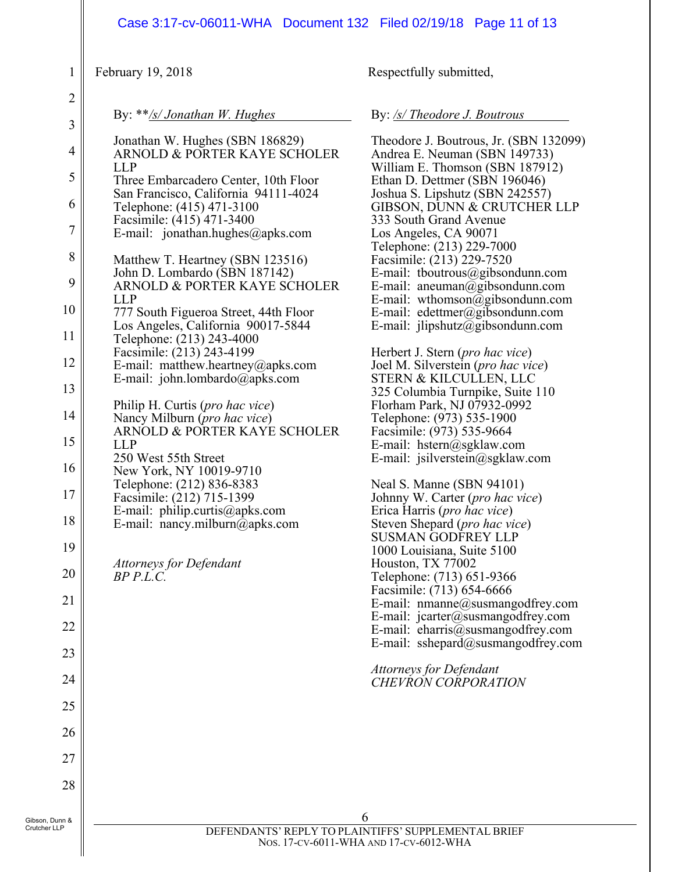|                                                                                                                                                                                       | Case 3:17-cv-06011-WHA  Document 132  Filed 02/19/18  Page 11  of 13                                                                                                                                                                                                                                                                                                                                                                                                                                                                                                                                                                                                                                                                                                                                                                                                                                                                                |                                                                                                                                                                                                                                                                                                                                                                                                                                                                                                                                                                                                                                                                                                                                                                                                                                                                                                                                                                                                                                                                                                                                                                                                                                                                                                                     |
|---------------------------------------------------------------------------------------------------------------------------------------------------------------------------------------|-----------------------------------------------------------------------------------------------------------------------------------------------------------------------------------------------------------------------------------------------------------------------------------------------------------------------------------------------------------------------------------------------------------------------------------------------------------------------------------------------------------------------------------------------------------------------------------------------------------------------------------------------------------------------------------------------------------------------------------------------------------------------------------------------------------------------------------------------------------------------------------------------------------------------------------------------------|---------------------------------------------------------------------------------------------------------------------------------------------------------------------------------------------------------------------------------------------------------------------------------------------------------------------------------------------------------------------------------------------------------------------------------------------------------------------------------------------------------------------------------------------------------------------------------------------------------------------------------------------------------------------------------------------------------------------------------------------------------------------------------------------------------------------------------------------------------------------------------------------------------------------------------------------------------------------------------------------------------------------------------------------------------------------------------------------------------------------------------------------------------------------------------------------------------------------------------------------------------------------------------------------------------------------|
| 1                                                                                                                                                                                     | February 19, 2018                                                                                                                                                                                                                                                                                                                                                                                                                                                                                                                                                                                                                                                                                                                                                                                                                                                                                                                                   | Respectfully submitted,                                                                                                                                                                                                                                                                                                                                                                                                                                                                                                                                                                                                                                                                                                                                                                                                                                                                                                                                                                                                                                                                                                                                                                                                                                                                                             |
| $\overline{2}$                                                                                                                                                                        | By: **/s/ Jonathan W. Hughes                                                                                                                                                                                                                                                                                                                                                                                                                                                                                                                                                                                                                                                                                                                                                                                                                                                                                                                        | By: /s/ Theodore J. Boutrous                                                                                                                                                                                                                                                                                                                                                                                                                                                                                                                                                                                                                                                                                                                                                                                                                                                                                                                                                                                                                                                                                                                                                                                                                                                                                        |
| $\mathfrak{Z}$<br>4<br>5<br>6<br>$\boldsymbol{7}$<br>$8\,$<br>9<br>10<br>11<br>12<br>13<br>14<br>15<br>16<br>$17\,$<br>18<br>19<br>20<br>21<br>22<br>23<br>24<br>25<br>26<br>27<br>28 | Jonathan W. Hughes (SBN 186829)<br>ARNOLD & PORTER KAYE SCHOLER<br><b>LLP</b><br>Three Embarcadero Center, 10th Floor<br>San Francisco, California 94111-4024<br>Telephone: (415) 471-3100<br>Facsimile: (415) 471-3400<br>E-mail: jonathan.hughes@apks.com<br>Matthew T. Heartney (SBN 123516)<br>John D. Lombardo (SBN 187142)<br>ARNOLD & PORTER KAYE SCHOLER<br><b>LLP</b><br>777 South Figueroa Street, 44th Floor<br>Los Angeles, California 90017-5844<br>Telephone: (213) 243-4000<br>Facsimile: (213) 243-4199<br>E-mail: matthew.heartney@apks.com<br>E-mail: john.lombardo@apks.com<br>Philip H. Curtis (pro hac vice)<br>Nancy Milburn (pro hac vice)<br>ARNOLD & PORTER KAYE SCHOLER<br><b>LLP</b><br>250 West 55th Street<br>New York, NY 10019-9710<br>Telephone: (212) 836-8383<br>Facsimile: (212) 715-1399<br>E-mail: philip.curtis@apks.com<br>E-mail: nancy.milburn@apks.com<br><b>Attorneys for Defendant</b><br>$BP$ $P.L.C.$ | Theodore J. Boutrous, Jr. (SBN 132099)<br>Andrea E. Neuman (SBN 149733)<br>William E. Thomson (SBN 187912)<br>Ethan D. Dettmer (SBN 196046)<br>Joshua S. Lipshutz (SBN 242557)<br>GIBSON, DUNN & CRUTCHER LLP<br>333 South Grand Avenue<br>Los Angeles, CA 90071<br>Telephone: (213) 229-7000<br>Facsimile: (213) 229-7520<br>E-mail: tboutrous@gibsondunn.com<br>E-mail: aneuman@gibsondunn.com<br>E-mail: wthomson@gibsondunn.com<br>E-mail: edettmer@gibsondunn.com<br>E-mail: $jlipshutz@gibsondunn.com$<br>Herbert J. Stern ( <i>pro hac vice</i> )<br>Joel M. Silverstein (pro hac vice)<br>STERN & KILCULLEN, LLC<br>325 Columbia Turnpike, Suite 110<br>Florham Park, NJ 07932-0992<br>Telephone: (973) 535-1900<br>Facsimile: (973) 535-9664<br>E-mail: hstern@sgklaw.com<br>E-mail: jsilverstein@sgklaw.com<br>Neal S. Manne (SBN 94101)<br>Johnny W. Carter (pro hac vice)<br>Erica Harris (pro hac vice)<br>Steven Shepard (pro hac vice)<br><b>SUSMAN GODFREY LLP</b><br>1000 Louisiana, Suite 5100<br>Houston, TX 77002<br>Telephone: (713) 651-9366<br>Facsimile: (713) 654-6666<br>E-mail: nmanne@susmangodfrey.com<br>E-mail: jcarter@susmangodfrey.com<br>E-mail: eharris@susmangodfrey.com<br>E-mail: sshepard@susmangodfrey.com<br><b>Attorneys for Defendant</b><br><b>CHEVRON CORPORATION</b> |
| Gibson, Dunn &<br>Crutcher LLP                                                                                                                                                        | <b>DEEEMDAMTS' DEBI V TO BI</b>                                                                                                                                                                                                                                                                                                                                                                                                                                                                                                                                                                                                                                                                                                                                                                                                                                                                                                                     | A INITIEEC' CLIDDI EMENITAL DDIEE                                                                                                                                                                                                                                                                                                                                                                                                                                                                                                                                                                                                                                                                                                                                                                                                                                                                                                                                                                                                                                                                                                                                                                                                                                                                                   |

DEFENDANTS' REPLY TO PLAINTIFFS' SUPPLEMENTAL BRIEF NOS. 17-CV-6011-WHA AND 17-CV-6012-WHA

Ш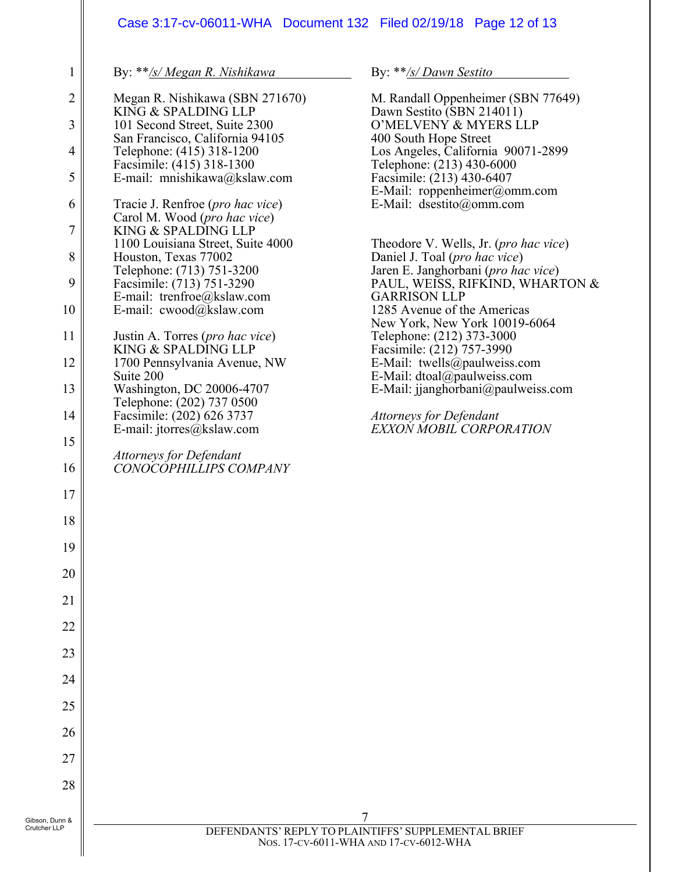# Case 3:17-cv-06011-WHA Document 132 Filed 02/19/18 Page 12 of 13

By: \*\**/s/ Megan R. Nishikawa*

| $\mathbf{1}$    | By: **/s/ Megan R. Nishikawa                                     | By: $**$ /s/ Dawn Sestito                                                               |
|-----------------|------------------------------------------------------------------|-----------------------------------------------------------------------------------------|
| $\overline{2}$  | Megan R. Nishikawa (SBN 271670)<br>KING & SPALDING LLP           | M. Randall Oppenheimer (SBN 77649)                                                      |
| 3               | 101 Second Street, Suite 2300                                    | Dawn Sestito (SBN 214011)<br>O'MELVENY & MYERS LLP                                      |
|                 | San Francisco, California 94105                                  | 400 South Hope Street                                                                   |
| 4               | Telephone: (415) 318-1200                                        | Los Angeles, California 90071-2899                                                      |
| 5               | Facsimile: (415) 318-1300<br>E-mail: mnishikawa@kslaw.com        | Telephone: (213) 430-6000<br>Facsimile: (213) 430-6407                                  |
|                 |                                                                  | E-Mail: roppenheimer@omm.com                                                            |
| 6               | Tracie J. Renfroe (pro hac vice)<br>Carol M. Wood (pro hac vice) | E-Mail: dsestito@omm.com                                                                |
| 7               | KING & SPALDING LLP                                              |                                                                                         |
| 8               | 1100 Louisiana Street, Suite 4000<br>Houston, Texas 77002        | Theodore V. Wells, Jr. (pro hac vice)<br>Daniel J. Toal (pro hac vice)                  |
|                 | Telephone: (713) 751-3200                                        | Jaren E. Janghorbani (pro hac vice)                                                     |
| 9               | Facsimile: (713) 751-3290                                        | PAUL, WEISS, RIFKIND, WHARTON &                                                         |
|                 | E-mail: trenfroe@kslaw.com                                       | <b>GARRISON LLP</b>                                                                     |
| 10              | E-mail: cwood@kslaw.com                                          | 1285 Avenue of the Americas                                                             |
| 11              | Justin A. Torres ( <i>pro hac vice</i> )<br>KING & SPALDING LLP  | New York, New York 10019-6064<br>Telephone: (212) 373-3000<br>Facsimile: (212) 757-3990 |
| 12              | 1700 Pennsylvania Avenue, NW                                     | E-Mail: twells@paulweiss.com                                                            |
|                 | Suite 200                                                        | E-Mail: dtoal@paulweiss.com                                                             |
| 13              | Washington, DC 20006-4707<br>Telephone: (202) 737 0500           | E-Mail: jjanghorbani@paulweiss.com                                                      |
| 14              | Facsimile: (202) 626 3737<br>E-mail: jtorres@kslaw.com           | <b>Attorneys for Defendant</b><br>EXXON MOBIL CORPORATION                               |
| 15              |                                                                  |                                                                                         |
| 16              | <b>Attorneys for Defendant</b><br>CONOCOPHILLIPS COMPANY         |                                                                                         |
| 17              |                                                                  |                                                                                         |
| 18              |                                                                  |                                                                                         |
| 19              |                                                                  |                                                                                         |
| 20              |                                                                  |                                                                                         |
| $\overline{21}$ |                                                                  |                                                                                         |
| $\overline{22}$ |                                                                  |                                                                                         |
| 23              |                                                                  |                                                                                         |
| 24              |                                                                  |                                                                                         |
| 25              |                                                                  |                                                                                         |
| 26              |                                                                  |                                                                                         |
| 27              |                                                                  |                                                                                         |
| 28              |                                                                  |                                                                                         |
| n &             |                                                                  | 7                                                                                       |